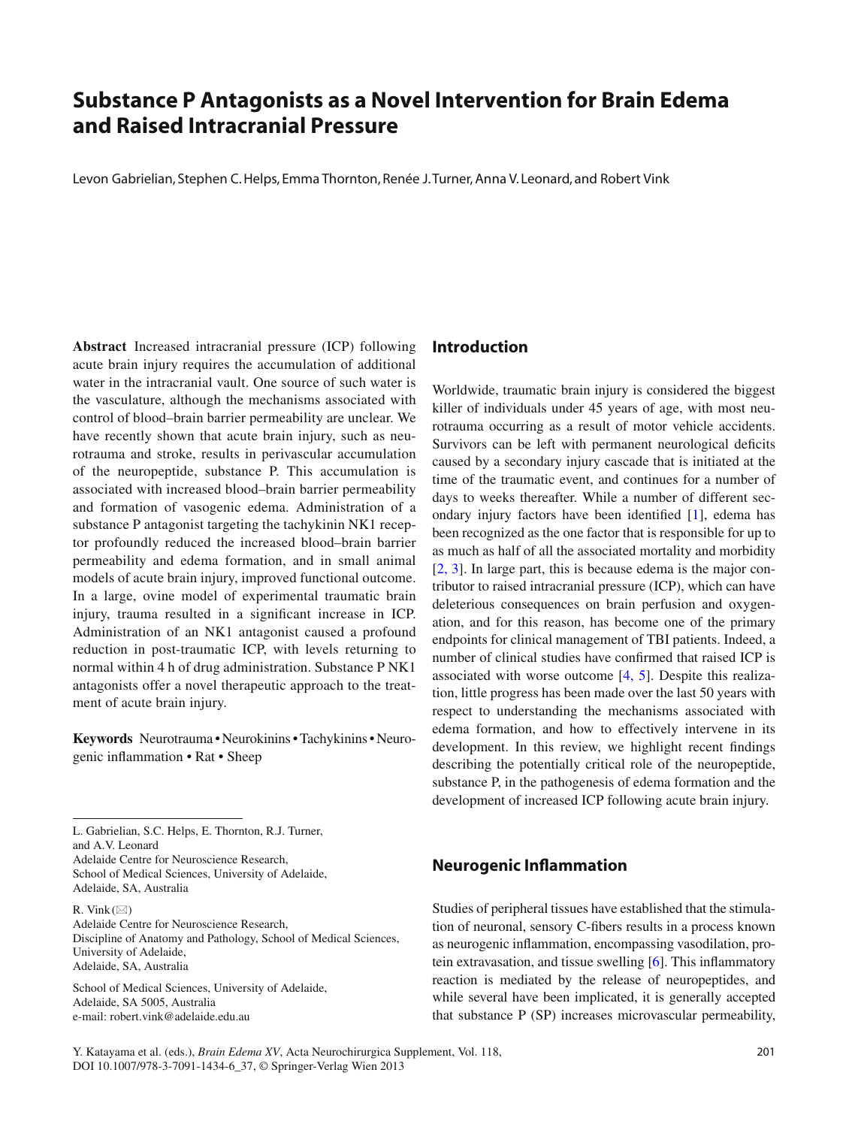# **Substance P Antagonists as a Novel Intervention for Brain Edema and Raised Intracranial Pressure**

Levon Gabrielian, Stephen C. Helps, Emma Thornton, Renée J. Turner, Anna V. Leonard, and Robert Vink

 **Abstract** Increased intracranial pressure (ICP) following acute brain injury requires the accumulation of additional water in the intracranial vault. One source of such water is the vasculature, although the mechanisms associated with control of blood–brain barrier permeability are unclear. We have recently shown that acute brain injury, such as neurotrauma and stroke, results in perivascular accumulation of the neuropeptide, substance P. This accumulation is associated with increased blood–brain barrier permeability and formation of vasogenic edema. Administration of a substance P antagonist targeting the tachykinin NK1 receptor profoundly reduced the increased blood–brain barrier permeability and edema formation, and in small animal models of acute brain injury, improved functional outcome. In a large, ovine model of experimental traumatic brain injury, trauma resulted in a significant increase in ICP. Administration of an NK1 antagonist caused a profound reduction in post-traumatic ICP, with levels returning to normal within 4 h of drug administration. Substance P NK1 antagonists offer a novel therapeutic approach to the treatment of acute brain injury.

 **Keywords** Neurotrauma • Neurokinins • Tachykinins • Neuro genic inflammation • Rat • Sheep

L. Gabrielian, S.C. Helps, E. Thornton, R.J. Turner, and A.V. Leonard

Adelaide Centre for Neuroscience Research, School of Medical Sciences, University of Adelaide, Adelaide, SA, Australia

R. Vink  $(\boxtimes)$ 

Adelaide Centre for Neuroscience Research, Discipline of Anatomy and Pathology, School of Medical Sciences, University of Adelaide, Adelaide, SA, Australia

School of Medical Sciences, University of Adelaide, Adelaide, SA 5005, Australia e-mail: robert.vink@adelaide.edu.au

# **Introduction**

 Worldwide, traumatic brain injury is considered the biggest killer of individuals under 45 years of age, with most neurotrauma occurring as a result of motor vehicle accidents. Survivors can be left with permanent neurological deficits caused by a secondary injury cascade that is initiated at the time of the traumatic event, and continues for a number of days to weeks thereafter. While a number of different secondary injury factors have been identified  $[1]$ , edema has been recognized as the one factor that is responsible for up to as much as half of all the associated mortality and morbidity  $[2, 3]$ . In large part, this is because edema is the major contributor to raised intracranial pressure (ICP), which can have deleterious consequences on brain perfusion and oxygenation, and for this reason, has become one of the primary endpoints for clinical management of TBI patients. Indeed, a number of clinical studies have confirmed that raised ICP is associated with worse outcome  $[4, 5]$ . Despite this realization, little progress has been made over the last 50 years with respect to understanding the mechanisms associated with edema formation, and how to effectively intervene in its development. In this review, we highlight recent findings describing the potentially critical role of the neuropeptide, substance P, in the pathogenesis of edema formation and the development of increased ICP following acute brain injury.

# **Neurogenic Inflammation**

 Studies of peripheral tissues have established that the stimulation of neuronal, sensory C-fibers results in a process known as neurogenic inflammation, encompassing vasodilation, protein extravasation, and tissue swelling  $[6]$ . This inflammatory reaction is mediated by the release of neuropeptides, and while several have been implicated, it is generally accepted that substance P (SP) increases microvascular permeability,

Y. Katayama et al. (eds.), *Brain Edema XV*, Acta Neurochirurgica Supplement, Vol. 118, 201 DOI 10.1007/978-3-7091-1434-6\_37, © Springer-Verlag Wien 2013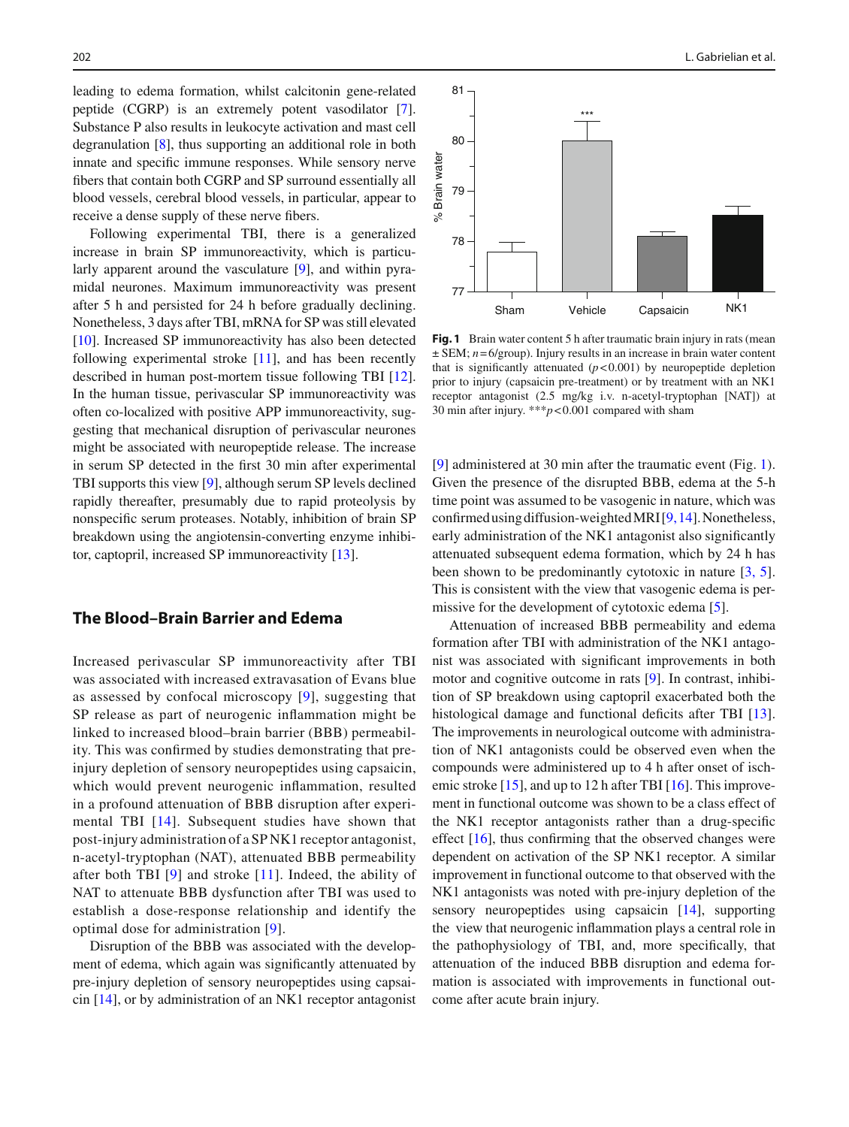leading to edema formation, whilst calcitonin gene-related peptide (CGRP) is an extremely potent vasodilator [7]. Substance P also results in leukocyte activation and mast cell degranulation  $[8]$ , thus supporting an additional role in both innate and specific immune responses. While sensory nerve fibers that contain both CGRP and SP surround essentially all blood vessels, cerebral blood vessels, in particular, appear to receive a dense supply of these nerve fibers.

 Following experimental TBI, there is a generalized increase in brain SP immunoreactivity, which is particularly apparent around the vasculature  $[9]$ , and within pyramidal neurones. Maximum immunoreactivity was present after 5 h and persisted for 24 h before gradually declining. Nonetheless, 3 days after TBI, mRNA for SP was still elevated  $[10]$ . Increased SP immunoreactivity has also been detected following experimental stroke  $[11]$ , and has been recently described in human post-mortem tissue following TBI [12]. In the human tissue, perivascular SP immunoreactivity was often co-localized with positive APP immunoreactivity, suggesting that mechanical disruption of perivascular neurones might be associated with neuropeptide release. The increase in serum SP detected in the first 30 min after experimental TBI supports this view [9], although serum SP levels declined rapidly thereafter, presumably due to rapid proteolysis by nonspecific serum proteases. Notably, inhibition of brain SP breakdown using the angiotensin-converting enzyme inhibitor, captopril, increased SP immunoreactivity  $[13]$ .

#### **The Blood–Brain Barrier and Edema**

 Increased perivascular SP immunoreactivity after TBI was associated with increased extravasation of Evans blue as assessed by confocal microscopy  $[9]$ , suggesting that SP release as part of neurogenic inflammation might be linked to increased blood–brain barrier (BBB) permeability. This was confirmed by studies demonstrating that preinjury depletion of sensory neuropeptides using capsaicin, which would prevent neurogenic inflammation, resulted in a profound attenuation of BBB disruption after experimental TBI [14]. Subsequent studies have shown that post-injury administration of a SP NK1 receptor antagonist, n-acetyl-tryptophan (NAT), attenuated BBB permeability after both TBI  $[9]$  and stroke  $[11]$ . Indeed, the ability of NAT to attenuate BBB dysfunction after TBI was used to establish a dose-response relationship and identify the optimal dose for administration [9].

 Disruption of the BBB was associated with the development of edema, which again was significantly attenuated by pre-injury depletion of sensory neuropeptides using capsaicin  $[14]$ , or by administration of an NK1 receptor antagonist



**Fig. 1** Brain water content 5 h after traumatic brain injury in rats (mean  $\pm$  SEM;  $n = 6$ /group). Injury results in an increase in brain water content that is significantly attenuated  $(p<0.001)$  by neuropeptide depletion prior to injury (capsaicin pre-treatment) or by treatment with an NK1 receptor antagonist (2.5 mg/kg i.v. n-acetyl-tryptophan [NAT]) at 30 min after injury. \*\*\* *p* < 0.001 compared with sham

[9] administered at 30 min after the traumatic event (Fig. 1). Given the presence of the disrupted BBB, edema at the 5-h time point was assumed to be vasogenic in nature, which was confirmed using diffusion-weighted MRI  $[9, 14]$ . Nonetheless, early administration of the NK1 antagonist also significantly attenuated subsequent edema formation, which by 24 h has been shown to be predominantly cytotoxic in nature  $[3, 5]$ . This is consistent with the view that vasogenic edema is permissive for the development of cytotoxic edema  $[5]$ .

 Attenuation of increased BBB permeability and edema formation after TBI with administration of the NK1 antagonist was associated with significant improvements in both motor and cognitive outcome in rats  $[9]$ . In contrast, inhibition of SP breakdown using captopril exacerbated both the histological damage and functional deficits after TBI [13]. The improvements in neurological outcome with administration of NK1 antagonists could be observed even when the compounds were administered up to 4 h after onset of ischemic stroke  $[15]$ , and up to 12 h after TBI  $[16]$ . This improvement in functional outcome was shown to be a class effect of the NK1 receptor antagonists rather than a drug-specific effect  $[16]$ , thus confirming that the observed changes were dependent on activation of the SP NK1 receptor. A similar improvement in functional outcome to that observed with the NK1 antagonists was noted with pre-injury depletion of the sensory neuropeptides using capsaicin  $[14]$ , supporting the view that neurogenic inflammation plays a central role in the pathophysiology of TBI, and, more specifically, that attenuation of the induced BBB disruption and edema formation is associated with improvements in functional outcome after acute brain injury.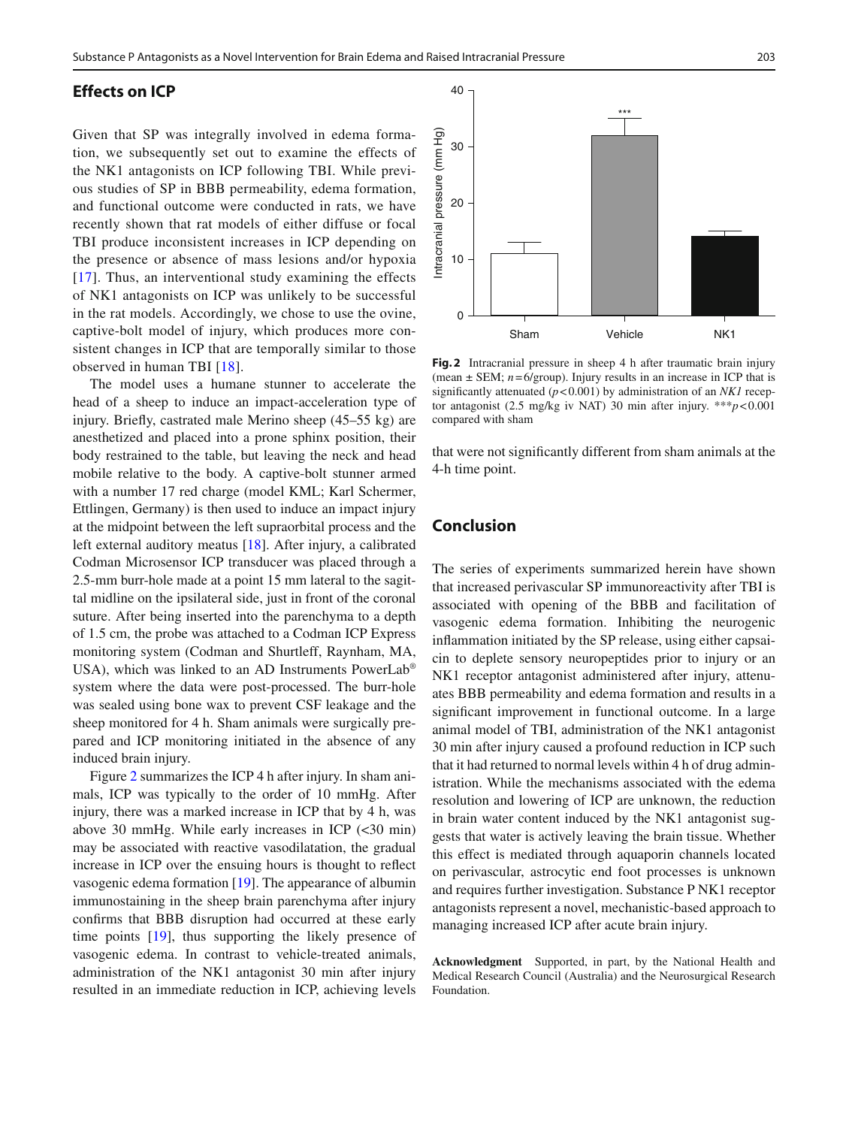### **Effects on ICP**

 Given that SP was integrally involved in edema formation, we subsequently set out to examine the effects of the NK1 antagonists on ICP following TBI. While previous studies of SP in BBB permeability, edema formation, and functional outcome were conducted in rats, we have recently shown that rat models of either diffuse or focal TBI produce inconsistent increases in ICP depending on the presence or absence of mass lesions and/or hypoxia  $[17]$ . Thus, an interventional study examining the effects of NK1 antagonists on ICP was unlikely to be successful in the rat models. Accordingly, we chose to use the ovine, captive-bolt model of injury, which produces more consistent changes in ICP that are temporally similar to those observed in human TBI [18].

 The model uses a humane stunner to accelerate the head of a sheep to induce an impact-acceleration type of injury. Briefly, castrated male Merino sheep  $(45-55 \text{ kg})$  are anesthetized and placed into a prone sphinx position, their body restrained to the table, but leaving the neck and head mobile relative to the body. A captive-bolt stunner armed with a number 17 red charge (model KML; Karl Schermer, Ettlingen, Germany) is then used to induce an impact injury at the midpoint between the left supraorbital process and the left external auditory meatus  $[18]$ . After injury, a calibrated Codman Microsensor ICP transducer was placed through a 2.5-mm burr-hole made at a point 15 mm lateral to the sagittal midline on the ipsilateral side, just in front of the coronal suture. After being inserted into the parenchyma to a depth of 1.5 cm, the probe was attached to a Codman ICP Express monitoring system (Codman and Shurtleff, Raynham, MA, USA), which was linked to an AD Instruments PowerLab® system where the data were post-processed. The burr-hole was sealed using bone wax to prevent CSF leakage and the sheep monitored for 4 h. Sham animals were surgically prepared and ICP monitoring initiated in the absence of any induced brain injury.

 Figure 2 summarizes the ICP 4 h after injury. In sham animals, ICP was typically to the order of 10 mmHg. After injury, there was a marked increase in ICP that by 4 h, was above 30 mmHg. While early increases in ICP (<30 min) may be associated with reactive vasodilatation, the gradual increase in ICP over the ensuing hours is thought to reflect vasogenic edema formation  $[19]$ . The appearance of albumin immunostaining in the sheep brain parenchyma after injury confirms that BBB disruption had occurred at these early time points  $[19]$ , thus supporting the likely presence of vasogenic edema. In contrast to vehicle-treated animals, administration of the NK1 antagonist 30 min after injury resulted in an immediate reduction in ICP, achieving levels



 **Fig. 2** Intracranial pressure in sheep 4 h after traumatic brain injury (mean  $\pm$  SEM;  $n = 6$ /group). Injury results in an increase in ICP that is significantly attenuated  $(p<0.001)$  by administration of an *NK1* receptor antagonist (2.5 mg/kg iv NAT) 30 min after injury. \*\*\* *p* < 0.001 compared with sham

that were not significantly different from sham animals at the 4-h time point.

## **Conclusion**

 The series of experiments summarized herein have shown that increased perivascular SP immunoreactivity after TBI is associated with opening of the BBB and facilitation of vasogenic edema formation. Inhibiting the neurogenic in flammation initiated by the SP release, using either capsaicin to deplete sensory neuropeptides prior to injury or an NK1 receptor antagonist administered after injury, attenuates BBB permeability and edema formation and results in a significant improvement in functional outcome. In a large animal model of TBI, administration of the NK1 antagonist 30 min after injury caused a profound reduction in ICP such that it had returned to normal levels within 4 h of drug administration. While the mechanisms associated with the edema resolution and lowering of ICP are unknown, the reduction in brain water content induced by the NK1 antagonist suggests that water is actively leaving the brain tissue. Whether this effect is mediated through aquaporin channels located on perivascular, astrocytic end foot processes is unknown and requires further investigation. Substance P NK1 receptor antagonists represent a novel, mechanistic-based approach to managing increased ICP after acute brain injury.

 **Acknowledgment** Supported, in part, by the National Health and Medical Research Council (Australia) and the Neurosurgical Research Foundation.